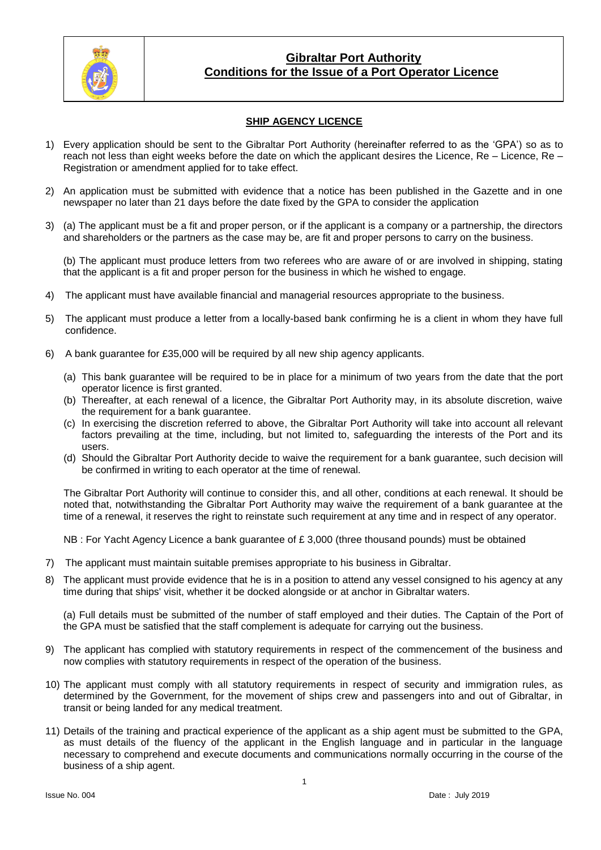

### **SHIP AGENCY LICENCE**

- 1) Every application should be sent to the Gibraltar Port Authority (hereinafter referred to as the 'GPA') so as to reach not less than eight weeks before the date on which the applicant desires the Licence, Re – Licence, Re – Registration or amendment applied for to take effect.
- 2) An application must be submitted with evidence that a notice has been published in the Gazette and in one newspaper no later than 21 days before the date fixed by the GPA to consider the application
- 3) (a) The applicant must be a fit and proper person, or if the applicant is a company or a partnership, the directors and shareholders or the partners as the case may be, are fit and proper persons to carry on the business.

(b) The applicant must produce letters from two referees who are aware of or are involved in shipping, stating that the applicant is a fit and proper person for the business in which he wished to engage.

- 4) The applicant must have available financial and managerial resources appropriate to the business.
- 5) The applicant must produce a letter from a locally-based bank confirming he is a client in whom they have full confidence.
- 6) A bank guarantee for £35,000 will be required by all new ship agency applicants.
	- (a) This bank guarantee will be required to be in place for a minimum of two years from the date that the port operator licence is first granted.
	- (b) Thereafter, at each renewal of a licence, the Gibraltar Port Authority may, in its absolute discretion, waive the requirement for a bank guarantee.
	- (c) In exercising the discretion referred to above, the Gibraltar Port Authority will take into account all relevant factors prevailing at the time, including, but not limited to, safeguarding the interests of the Port and its users.
	- (d) Should the Gibraltar Port Authority decide to waive the requirement for a bank guarantee, such decision will be confirmed in writing to each operator at the time of renewal.

The Gibraltar Port Authority will continue to consider this, and all other, conditions at each renewal. It should be noted that, notwithstanding the Gibraltar Port Authority may waive the requirement of a bank guarantee at the time of a renewal, it reserves the right to reinstate such requirement at any time and in respect of any operator.

NB : For Yacht Agency Licence a bank guarantee of £ 3,000 (three thousand pounds) must be obtained

- 7) The applicant must maintain suitable premises appropriate to his business in Gibraltar.
- 8) The applicant must provide evidence that he is in a position to attend any vessel consigned to his agency at any time during that ships' visit, whether it be docked alongside or at anchor in Gibraltar waters.

(a) Full details must be submitted of the number of staff employed and their duties. The Captain of the Port of the GPA must be satisfied that the staff complement is adequate for carrying out the business.

- 9) The applicant has complied with statutory requirements in respect of the commencement of the business and now complies with statutory requirements in respect of the operation of the business.
- 10) The applicant must comply with all statutory requirements in respect of security and immigration rules, as determined by the Government, for the movement of ships crew and passengers into and out of Gibraltar, in transit or being landed for any medical treatment.
- 11) Details of the training and practical experience of the applicant as a ship agent must be submitted to the GPA, as must details of the fluency of the applicant in the English language and in particular in the language necessary to comprehend and execute documents and communications normally occurring in the course of the business of a ship agent.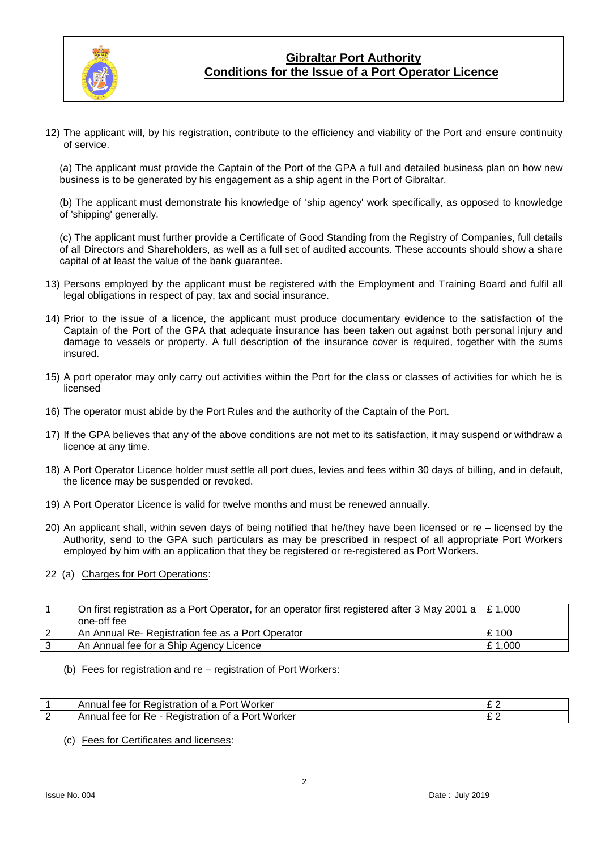

12) The applicant will, by his registration, contribute to the efficiency and viability of the Port and ensure continuity of service.

(a) The applicant must provide the Captain of the Port of the GPA a full and detailed business plan on how new business is to be generated by his engagement as a ship agent in the Port of Gibraltar.

(b) The applicant must demonstrate his knowledge of 'ship agency' work specifically, as opposed to knowledge of 'shipping' generally.

(c) The applicant must further provide a Certificate of Good Standing from the Registry of Companies, full details of all Directors and Shareholders, as well as a full set of audited accounts. These accounts should show a share capital of at least the value of the bank guarantee.

- 13) Persons employed by the applicant must be registered with the Employment and Training Board and fulfil all legal obligations in respect of pay, tax and social insurance.
- 14) Prior to the issue of a licence, the applicant must produce documentary evidence to the satisfaction of the Captain of the Port of the GPA that adequate insurance has been taken out against both personal injury and damage to vessels or property. A full description of the insurance cover is required, together with the sums insured.
- 15) A port operator may only carry out activities within the Port for the class or classes of activities for which he is licensed
- 16) The operator must abide by the Port Rules and the authority of the Captain of the Port.
- 17) If the GPA believes that any of the above conditions are not met to its satisfaction, it may suspend or withdraw a licence at any time.
- 18) A Port Operator Licence holder must settle all port dues, levies and fees within 30 days of billing, and in default, the licence may be suspended or revoked.
- 19) A Port Operator Licence is valid for twelve months and must be renewed annually.
- 20) An applicant shall, within seven days of being notified that he/they have been licensed or re licensed by the Authority, send to the GPA such particulars as may be prescribed in respect of all appropriate Port Workers employed by him with an application that they be registered or re-registered as Port Workers.
- 22 (a) Charges for Port Operations:

| On first registration as a Port Operator, for an operator first registered after 3 May 2001 a $\mid$ £ 1,000<br>one-off fee |        |
|-----------------------------------------------------------------------------------------------------------------------------|--------|
| An Annual Re- Registration fee as a Port Operator                                                                           | £ 100  |
| An Annual fee for a Ship Agency Licence                                                                                     | £1,000 |
|                                                                                                                             |        |

(b) Fees for registration and re – registration of Port Workers:

| Worker<br>teaistration<br>Port<br>tor<br>Annual<br>tee<br>οt<br>a    | ົ<br>~ ~                 |
|----------------------------------------------------------------------|--------------------------|
| Worker<br>Port<br>Registration<br>tor<br>Annua.<br>tee<br>κе<br>. OT | $\sim$ $\epsilon$<br>~ ~ |

(c) Fees for Certificates and licenses: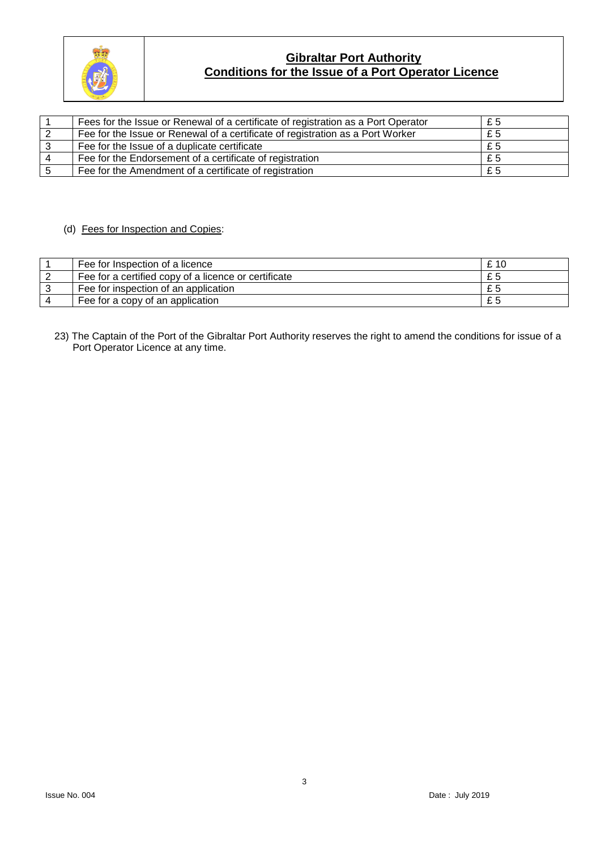

| Fees for the Issue or Renewal of a certificate of registration as a Port Operator | £5 |
|-----------------------------------------------------------------------------------|----|
| Fee for the Issue or Renewal of a certificate of registration as a Port Worker    | £5 |
| Fee for the Issue of a duplicate certificate                                      | £5 |
| Fee for the Endorsement of a certificate of registration                          | £5 |
| Fee for the Amendment of a certificate of registration                            | £5 |

### (d) Fees for Inspection and Copies:

| Fee for Inspection of a licence                      | £ 10 |
|------------------------------------------------------|------|
| Fee for a certified copy of a licence or certificate |      |
| Fee for inspection of an application                 |      |
| Fee for a copy of an application                     |      |

23) The Captain of the Port of the Gibraltar Port Authority reserves the right to amend the conditions for issue of a Port Operator Licence at any time.